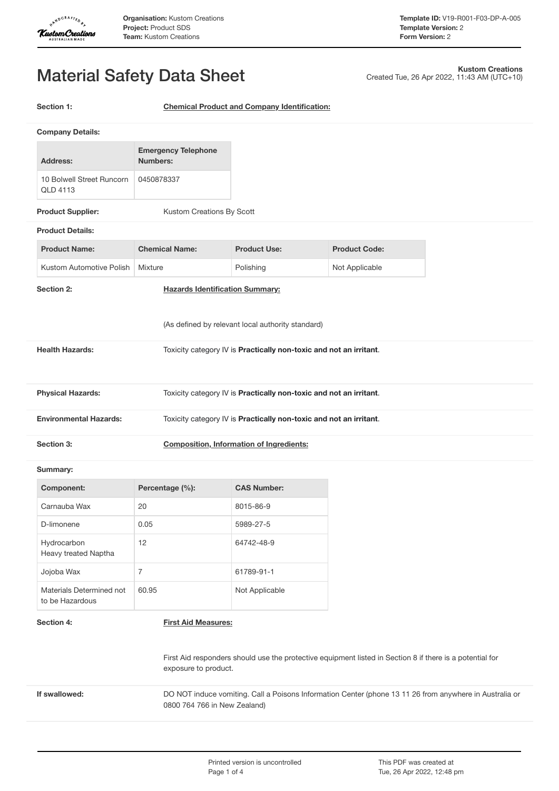

Created Tue, 26 Apr 2022, 11:43 AM (UTC+10)

**Kustom Creations**

# Material Safety Data Sheet

**Section 1: Chemical Product and Company Identification:**

| <b>Company Details:</b>                                                                             |                                                                    |                     |                      |  |
|-----------------------------------------------------------------------------------------------------|--------------------------------------------------------------------|---------------------|----------------------|--|
| <b>Address:</b>                                                                                     | <b>Emergency Telephone</b><br><b>Numbers:</b>                      |                     |                      |  |
| 10 Bolwell Street Runcorn<br>QLD 4113                                                               | 0450878337                                                         |                     |                      |  |
| <b>Product Supplier:</b>                                                                            | Kustom Creations By Scott                                          |                     |                      |  |
| <b>Product Details:</b>                                                                             |                                                                    |                     |                      |  |
| <b>Product Name:</b>                                                                                | <b>Chemical Name:</b>                                              | <b>Product Use:</b> | <b>Product Code:</b> |  |
| Kustom Automotive Polish                                                                            | Mixture                                                            | Polishing           | Not Applicable       |  |
| Section 2:                                                                                          | <b>Hazards Identification Summary:</b>                             |                     |                      |  |
|                                                                                                     | (As defined by relevant local authority standard)                  |                     |                      |  |
| <b>Health Hazards:</b>                                                                              | Toxicity category IV is Practically non-toxic and not an irritant. |                     |                      |  |
| <b>Physical Hazards:</b>                                                                            | Toxicity category IV is Practically non-toxic and not an irritant. |                     |                      |  |
| <b>Environmental Hazards:</b><br>Toxicity category IV is Practically non-toxic and not an irritant. |                                                                    |                     |                      |  |
| Section 3:<br><b>Composition, Information of Ingredients:</b>                                       |                                                                    |                     |                      |  |
| Summary:                                                                                            |                                                                    |                     |                      |  |
| <b>Component:</b>                                                                                   | Percentage (%):                                                    | <b>CAS Number:</b>  |                      |  |
| Carnauba Wax                                                                                        | 20                                                                 | 8015-86-9           |                      |  |
| D-limonene                                                                                          | 0.05                                                               | 5989-27-5           |                      |  |
| Hydrocarbon<br>Heavy treated Naptha                                                                 | 12                                                                 | 64742-48-9          |                      |  |

| Hydrocarbon<br>Heavy treated Naptha         | 12    | 64742-48-9     |
|---------------------------------------------|-------|----------------|
| Jojoba Wax                                  |       | 61789-91-1     |
| Materials Determined not<br>to be Hazardous | 60.95 | Not Applicable |

## **Section 4: First Aid Measures:**

First Aid responders should use the protective equipment listed in Section 8 if there is a potential for exposure to product.

**If** swallowed: DO NOT induce vomiting. Call a Poisons Information Center (phone 13 11 26 from anywhere in Australia or 0800 764 766 in New Zealand)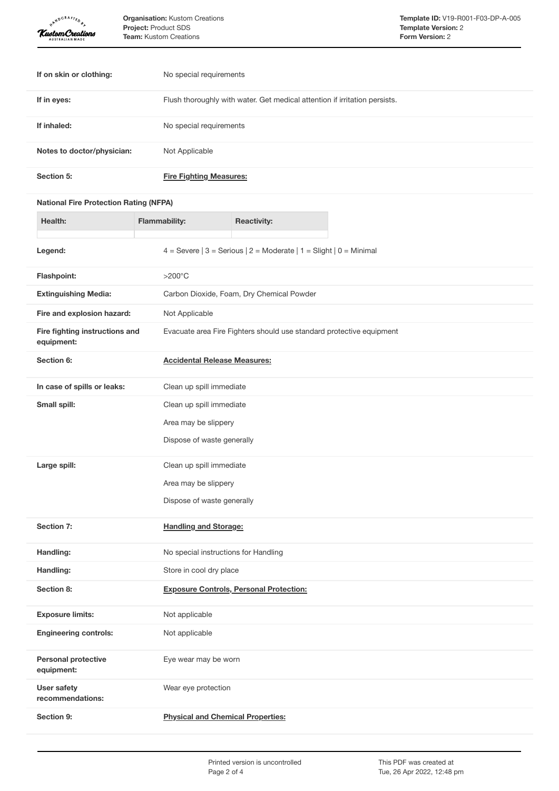| <b>ARNDCRAFTED</b><br>Kustom Creations        |                          | <b>Organisation:</b> Kustom Creations<br>Project: Product SDS<br>Team: Kustom Creations |                                                                        | Template ID: V19-R001-F03-DP-A-005<br><b>Template Version: 2</b><br>Form Version: 2 |
|-----------------------------------------------|--------------------------|-----------------------------------------------------------------------------------------|------------------------------------------------------------------------|-------------------------------------------------------------------------------------|
|                                               |                          |                                                                                         |                                                                        |                                                                                     |
| If on skin or clothing:                       |                          | No special requirements                                                                 |                                                                        |                                                                                     |
| If in eyes:                                   |                          | Flush thoroughly with water. Get medical attention if irritation persists.              |                                                                        |                                                                                     |
| If inhaled:                                   |                          | No special requirements                                                                 |                                                                        |                                                                                     |
| Notes to doctor/physician:                    |                          | Not Applicable                                                                          |                                                                        |                                                                                     |
| Section 5:                                    |                          | <b>Fire Fighting Measures:</b>                                                          |                                                                        |                                                                                     |
| <b>National Fire Protection Rating (NFPA)</b> |                          |                                                                                         |                                                                        |                                                                                     |
| Health:                                       |                          | <b>Flammability:</b>                                                                    | <b>Reactivity:</b>                                                     |                                                                                     |
| Legend:                                       |                          |                                                                                         | 4 = Severe $ 3$ = Serious $ 2$ = Moderate $ 1$ = Slight $ 0$ = Minimal |                                                                                     |
| Flashpoint:                                   |                          |                                                                                         |                                                                        |                                                                                     |
| <b>Extinguishing Media:</b>                   |                          |                                                                                         | $>200^{\circ}$ C<br>Carbon Dioxide, Foam, Dry Chemical Powder          |                                                                                     |
| Fire and explosion hazard:                    |                          | Not Applicable                                                                          |                                                                        |                                                                                     |
| Fire fighting instructions and<br>equipment:  |                          | Evacuate area Fire Fighters should use standard protective equipment                    |                                                                        |                                                                                     |
| Section 6:                                    |                          | <b>Accidental Release Measures:</b>                                                     |                                                                        |                                                                                     |
| In case of spills or leaks:                   |                          | Clean up spill immediate                                                                |                                                                        |                                                                                     |
| Small spill:                                  | Clean up spill immediate |                                                                                         |                                                                        |                                                                                     |
|                                               |                          | Area may be slippery                                                                    |                                                                        |                                                                                     |
|                                               |                          | Dispose of waste generally                                                              |                                                                        |                                                                                     |
| Large spill:                                  |                          | Clean up spill immediate                                                                |                                                                        |                                                                                     |
|                                               |                          | Area may be slippery                                                                    |                                                                        |                                                                                     |
|                                               |                          | Dispose of waste generally                                                              |                                                                        |                                                                                     |
| Section 7:                                    |                          | <b>Handling and Storage:</b>                                                            |                                                                        |                                                                                     |
| Handling:                                     |                          | No special instructions for Handling                                                    |                                                                        |                                                                                     |
| Handling:                                     |                          | Store in cool dry place                                                                 |                                                                        |                                                                                     |
| Section 8:                                    |                          | <b>Exposure Controls, Personal Protection:</b>                                          |                                                                        |                                                                                     |
| <b>Exposure limits:</b>                       |                          | Not applicable                                                                          |                                                                        |                                                                                     |
| <b>Engineering controls:</b>                  |                          | Not applicable                                                                          |                                                                        |                                                                                     |
| <b>Personal protective</b><br>equipment:      |                          | Eye wear may be worn                                                                    |                                                                        |                                                                                     |
| User safety<br>recommendations:               |                          | Wear eye protection                                                                     |                                                                        |                                                                                     |
| Section 9:                                    |                          | <b>Physical and Chemical Properties:</b>                                                |                                                                        |                                                                                     |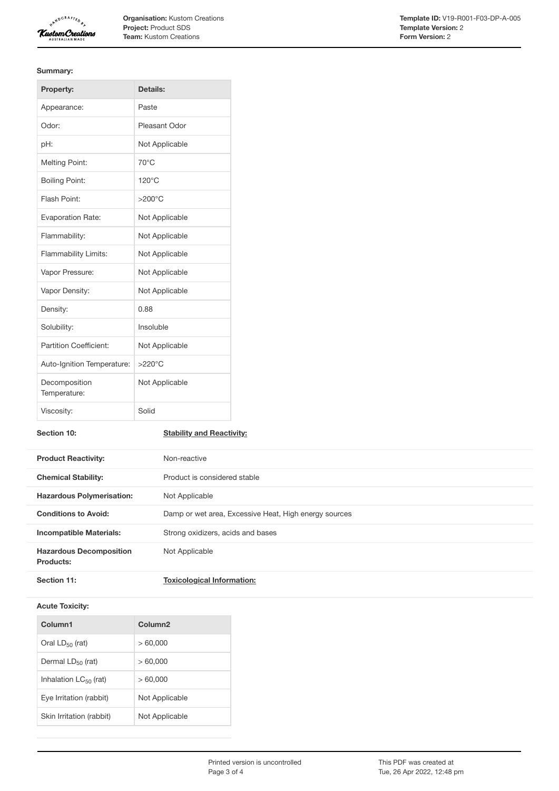

**Organisation:** Kustom Creations **Project:** Product SDS **Team:** Kustom Creations

#### **Summary:**

| Property:                     | Details:         |
|-------------------------------|------------------|
| Appearance:                   | Paste            |
| Odor:                         | Pleasant Odor    |
| pH:                           | Not Applicable   |
| <b>Melting Point:</b>         | $70^{\circ}$ C   |
| <b>Boiling Point:</b>         | $120^{\circ}$ C  |
| Flash Point:                  | $>200^{\circ}$ C |
| <b>Evaporation Rate:</b>      | Not Applicable   |
| Flammability:                 | Not Applicable   |
| <b>Flammability Limits:</b>   | Not Applicable   |
| Vapor Pressure:               | Not Applicable   |
| Vapor Density:                | Not Applicable   |
| Density:                      | 0.88             |
| Solubility:                   | Insoluble        |
| <b>Partition Coefficient:</b> | Not Applicable   |
| Auto-Ignition Temperature:    | $>220^{\circ}$ C |
| Decomposition<br>Temperature: | Not Applicable   |
| Viscosity:                    | Solid            |

**Section 10: Stability and Reactivity:**

| <b>Product Reactivity:</b>                  | Non-reactive                                          |  |
|---------------------------------------------|-------------------------------------------------------|--|
| <b>Chemical Stability:</b>                  | Product is considered stable                          |  |
| <b>Hazardous Polymerisation:</b>            | Not Applicable                                        |  |
| <b>Conditions to Avoid:</b>                 | Damp or wet area, Excessive Heat, High energy sources |  |
| <b>Incompatible Materials:</b>              | Strong oxidizers, acids and bases                     |  |
| <b>Hazardous Decomposition</b><br>Products: | Not Applicable                                        |  |
| Section 11:                                 | <b>Toxicological Information:</b>                     |  |

### **Acute Toxicity:**

| Column1                    | Column <sub>2</sub> |
|----------------------------|---------------------|
| Oral $LD_{50}$ (rat)       | >60.000             |
| Dermal $LD_{50}$ (rat)     | >60.000             |
| Inhalation $LC_{50}$ (rat) | >60.000             |
| Eve Irritation (rabbit)    | Not Applicable      |
| Skin Irritation (rabbit)   | Not Applicable      |